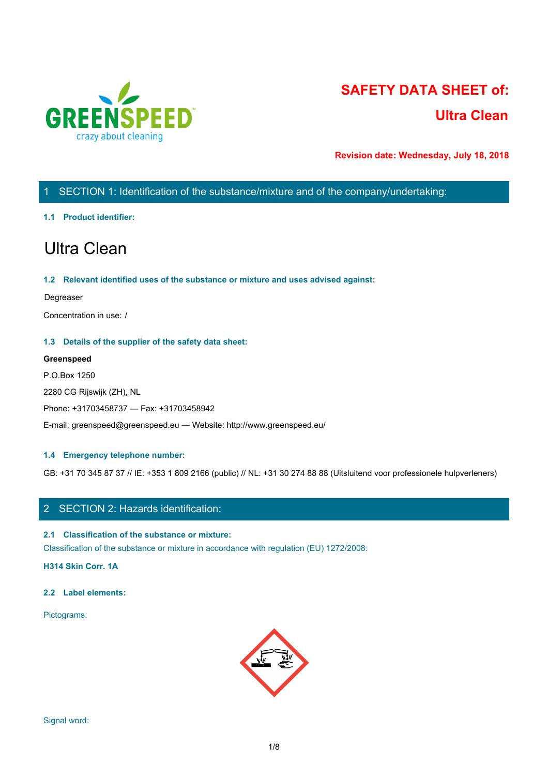

# **SAFETY DATA SHEET of: Ultra Clean**

**Revision date: Wednesday, July 18, 2018**

# 1 SECTION 1: Identification of the substance/mixture and of the company/undertaking:

# **1.1 Product identifier:**

# Ultra Clean

# **1.2 Relevant identified uses of the substance or mixture and uses advised against:**

### Degreaser

Concentration in use: /

# **1.3 Details of the supplier of the safety data sheet:**

# **Greenspeed**

P.O.Box 1250 2280 CG Rijswijk (ZH), NL Phone: +31703458737 — Fax: +31703458942 E-mail: greenspeed@greenspeed.eu — Website: http://www.greenspeed.eu/

# **1.4 Emergency telephone number:**

GB: +31 70 345 87 37 // IE: +353 1 809 2166 (public) // NL: +31 30 274 88 88 (Uitsluitend voor professionele hulpverleners)

# 2 SECTION 2: Hazards identification:

# **2.1 Classification of the substance or mixture:**

Classification of the substance or mixture in accordance with regulation (EU) 1272/2008:

**H314 Skin Corr. 1A**

# **2.2 Label elements:**

Pictograms:

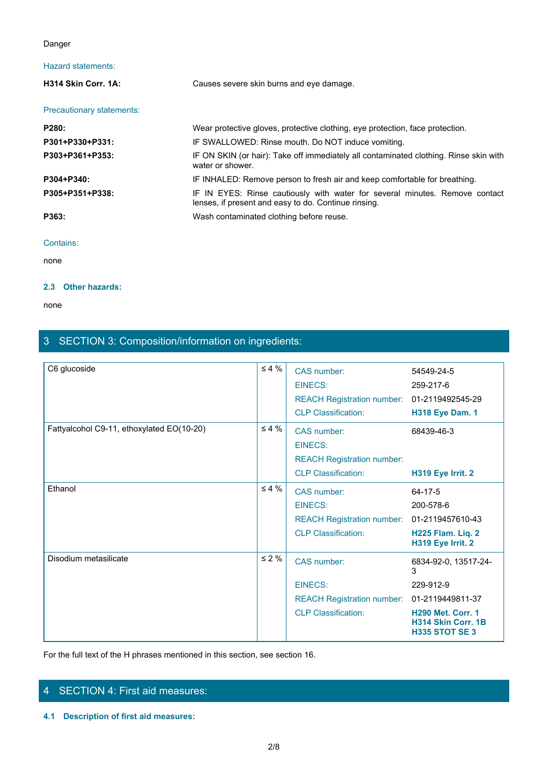# Danger

# Hazard statements:

| Danger                    |                                                                                                                                     |  |
|---------------------------|-------------------------------------------------------------------------------------------------------------------------------------|--|
| Hazard statements:        |                                                                                                                                     |  |
| H314 Skin Corr. 1A:       | Causes severe skin burns and eye damage.                                                                                            |  |
| Precautionary statements: |                                                                                                                                     |  |
| P280:                     | Wear protective gloves, protective clothing, eye protection, face protection.                                                       |  |
| P301+P330+P331:           | IF SWALLOWED: Rinse mouth. Do NOT induce vomiting.                                                                                  |  |
| P303+P361+P353:           | IF ON SKIN (or hair): Take off immediately all contaminated clothing. Rinse skin with<br>water or shower.                           |  |
| P304+P340:                | IF INHALED: Remove person to fresh air and keep comfortable for breathing.                                                          |  |
| P305+P351+P338:           | IF IN EYES: Rinse cautiously with water for several minutes. Remove contact<br>lenses, if present and easy to do. Continue rinsing. |  |
| P363:                     | Wash contaminated clothing before reuse.                                                                                            |  |
| Contains:                 |                                                                                                                                     |  |
| none                      |                                                                                                                                     |  |

### Contains:

none and the state of the state of the state of the state of the state of the state of the state of the state of the state of the state of the state of the state of the state of the state of the state of the state of the s

# **2.3 Other hazards:**

none and the state of the state of the state of the state of the state of the state of the state of the state of the state of the state of the state of the state of the state of the state of the state of the state of the s

# 3 SECTION 3: Composition/information on ingredients:

| C6 glucoside                              | $\leq 4 \%$ | CAS number:<br><b>EINECS:</b><br><b>REACH Registration number:</b><br><b>CLP Classification:</b> | 54549-24-5<br>259-217-6<br>01-2119492545-29<br><b>H318 Eye Dam. 1</b>                                                                 |
|-------------------------------------------|-------------|--------------------------------------------------------------------------------------------------|---------------------------------------------------------------------------------------------------------------------------------------|
| Fattyalcohol C9-11, ethoxylated EO(10-20) | $\leq 4\%$  | CAS number:<br><b>EINECS:</b><br><b>REACH Registration number:</b><br><b>CLP Classification:</b> | 68439-46-3<br>H319 Eye Irrit. 2                                                                                                       |
| Ethanol                                   | $\leq 4 \%$ | CAS number:<br><b>EINECS:</b><br><b>REACH Registration number:</b><br><b>CLP Classification:</b> | 64-17-5<br>200-578-6<br>01-2119457610-43<br>H225 Flam. Liq. 2<br>H319 Eye Irrit. 2                                                    |
| Disodium metasilicate                     | $\leq 2 \%$ | CAS number:<br>EINECS:<br><b>REACH Registration number:</b><br><b>CLP Classification:</b>        | 6834-92-0, 13517-24-<br>3<br>229-912-9<br>01-2119449811-37<br><b>H290 Met. Corr. 1</b><br>H314 Skin Corr. 1B<br><b>H335 STOT SE 3</b> |

For the full text of the H phrases mentioned in this section, see section 16.

# 4 SECTION 4: First aid measures:

**4.1 Description of first aid measures:**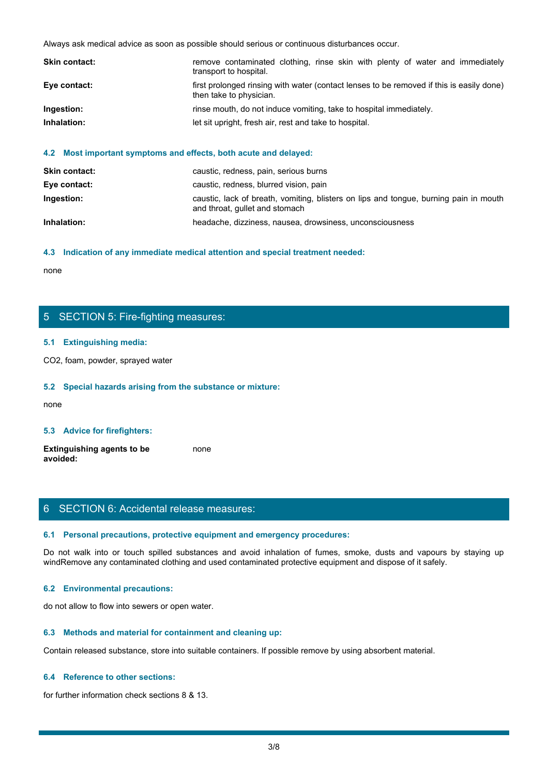|               | Always ask medical advice as soon as possible should serious or continuous disturbances occur.                      |  |
|---------------|---------------------------------------------------------------------------------------------------------------------|--|
| Skin contact: | remove contaminated clothing, rinse skin with plenty of water and immediately<br>transport to hospital.             |  |
| Eye contact:  | first prolonged rinsing with water (contact lenses to be removed if this is easily done)<br>then take to physician. |  |
| Ingestion:    | rinse mouth, do not induce vomiting, take to hospital immediately.                                                  |  |
| Inhalation:   | let sit upright, fresh air, rest and take to hospital.                                                              |  |
|               |                                                                                                                     |  |

### **4.2 Most important symptoms and effects, both acute and delayed:**

| <b>Skin contact:</b> | caustic, redness, pain, serious burns                                                                                   |
|----------------------|-------------------------------------------------------------------------------------------------------------------------|
| Eye contact:         | caustic, redness, blurred vision, pain                                                                                  |
| Ingestion:           | caustic, lack of breath, vomiting, blisters on lips and tongue, burning pain in mouth<br>and throat, gullet and stomach |
| Inhalation:          | headache, dizziness, nausea, drowsiness, unconsciousness                                                                |

#### **4.3 Indication of any immediate medical attention and special treatment needed:**

none and the state of the state of the state of the state of the state of the state of the state of the state of the state of the state of the state of the state of the state of the state of the state of the state of the s

# 5 SECTION 5: Fire-fighting measures:

### **5.1 Extinguishing media:**

CO2, foam, powder, sprayed water

### **5.2 Special hazards arising from the substance or mixture:**

none and the state of the state of the state of the state of the state of the state of the state of the state of the state of the state of the state of the state of the state of the state of the state of the state of the s

### **5.3 Advice for firefighters:**

**Extinguishing agents to be avoided:** none and the state of the state of the state of the state of the state of the state of the state of the state of the state of the state of the state of the state of the state of the state of the state of the state of the s

# 6 SECTION 6: Accidental release measures:

#### **6.1 Personal precautions, protective equipment and emergency procedures:**

none<br>
S. SECTION 5: Fire-fighting measures:<br>
S. S. Special hazards arising from the substance or mixture:<br>
H. S. Special hazards arising from the substance or mixture:<br>
and avoid in the fumes, spilled substances and avoid windRemove any contaminated clothing and used contaminated protective equipment and dispose of it safely.

# **6.2 Environmental precautions:**

do not allow to flow into sewers or open water.

### **6.3 Methods and material for containment and cleaning up:**

Contain released substance, store into suitable containers. If possible remove by using absorbent material.

### **6.4 Reference to other sections:**

for further information check sections 8 & 13.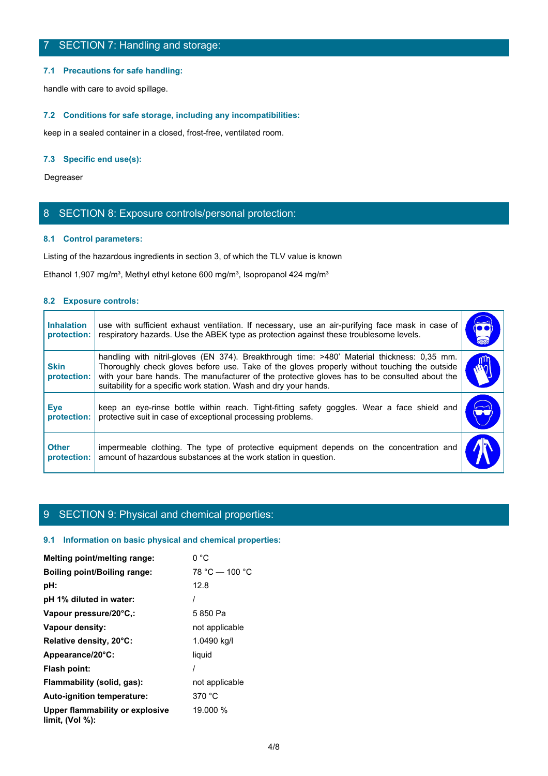### **7.1 Precautions for safe handling:**

# **7.2 Conditions for safe storage, including any incompatibilities:**

# **7.3 Specific end use(s):**

# 8 SECTION 8: Exposure controls/personal protection:

# **8.1 Control parameters:**

### **8.2 Exposure controls:**

|                                  | 7 SECTION 7: Handling and storage:                                                                                                                                                                                                                                                                                                                                |                      |
|----------------------------------|-------------------------------------------------------------------------------------------------------------------------------------------------------------------------------------------------------------------------------------------------------------------------------------------------------------------------------------------------------------------|----------------------|
|                                  | 7.1 Precautions for safe handling:                                                                                                                                                                                                                                                                                                                                |                      |
|                                  | handle with care to avoid spillage.                                                                                                                                                                                                                                                                                                                               |                      |
|                                  | 7.2 Conditions for safe storage, including any incompatibilities:                                                                                                                                                                                                                                                                                                 |                      |
|                                  | keep in a sealed container in a closed, frost-free, ventilated room.                                                                                                                                                                                                                                                                                              |                      |
|                                  | 7.3 Specific end use(s):                                                                                                                                                                                                                                                                                                                                          |                      |
| Degreaser                        |                                                                                                                                                                                                                                                                                                                                                                   |                      |
|                                  | 8 SECTION 8: Exposure controls/personal protection:                                                                                                                                                                                                                                                                                                               |                      |
|                                  | 8.1 Control parameters:                                                                                                                                                                                                                                                                                                                                           |                      |
|                                  | Listing of the hazardous ingredients in section 3, of which the TLV value is known                                                                                                                                                                                                                                                                                |                      |
|                                  | Ethanol 1,907 mg/m <sup>3</sup> , Methyl ethyl ketone 600 mg/m <sup>3</sup> , Isopropanol 424 mg/m <sup>3</sup>                                                                                                                                                                                                                                                   |                      |
| 8.2 Exposure controls:           |                                                                                                                                                                                                                                                                                                                                                                   |                      |
| <b>Inhalation</b><br>protection: | use with sufficient exhaust ventilation. If necessary, use an air-purifying face mask in case of<br>respiratory hazards. Use the ABEK type as protection against these troublesome levels.                                                                                                                                                                        | $\overline{\bullet}$ |
| <b>Skin</b><br>protection:       | handling with nitril-gloves (EN 374). Breakthrough time: >480' Material thickness: 0,35 mm.<br>Thoroughly check gloves before use. Take of the gloves properly without touching the outside<br>with your bare hands. The manufacturer of the protective gloves has to be consulted about the<br>suitability for a specific work station. Wash and dry your hands. | րո<br>M              |
| <b>Eye</b><br>protection:        | keep an eye-rinse bottle within reach. Tight-fitting safety goggles. Wear a face shield and<br>protective suit in case of exceptional processing problems.                                                                                                                                                                                                        |                      |
| <b>Other</b>                     | impermeable clothing. The type of protective equipment depends on the concentration and<br>amount of hazardous substances at the work station in question.<br>protection:                                                                                                                                                                                         |                      |

# 9 SECTION 9: Physical and chemical properties:

### **9.1 Information on basic physical and chemical properties:**

| Melting point/melting range:                          | 0 °C             |
|-------------------------------------------------------|------------------|
| Boiling point/Boiling range:                          | $78 °C - 100 °C$ |
| pH:                                                   | 12.8             |
| pH 1% diluted in water:                               |                  |
| Vapour pressure/20°C,:                                | 5850 Pa          |
| Vapour density:                                       | not applicable   |
| Relative density, 20°C:                               | 1.0490 kg/l      |
| Appearance/20°C:                                      | liquid           |
| Flash point:                                          |                  |
| Flammability (solid, gas):                            | not applicable   |
| Auto-ignition temperature:                            | 370 °C           |
| Upper flammability or explosive<br>limit, $(Vol %)$ : | 19.000 %         |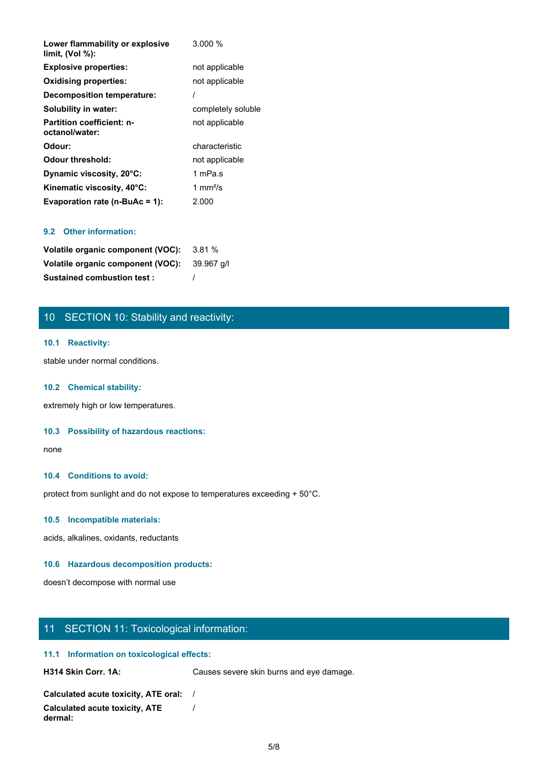| Lower flammability or explosive<br>limit, (Vol %): | 3.000%                    |
|----------------------------------------------------|---------------------------|
| <b>Explosive properties:</b>                       | not applicable            |
| <b>Oxidising properties:</b>                       | not applicable            |
| Decomposition temperature:                         |                           |
| Solubility in water:                               | completely soluble        |
| <b>Partition coefficient: n-</b><br>octanol/water: | not applicable            |
| Odour:                                             | characteristic            |
| <b>Odour threshold:</b>                            | not applicable            |
| Dynamic viscosity, 20°C:                           | 1 mPa.s                   |
| Kinematic viscosity, 40°C:                         | 1 mm $\frac{2}{\text{S}}$ |
| Evaporation rate ( $n$ -BuAc = 1):                 | 2.000                     |

# **9.2 Other information:**

| <b>Volatile organic component (VOC):</b> 3.81 % |  |
|-------------------------------------------------|--|
| Volatile organic component (VOC): 39.967 q/l    |  |
| <b>Sustained combustion test:</b>               |  |

# 10 SECTION 10: Stability and reactivity:

### **10.1 Reactivity:**

stable under normal conditions.

### **10.2 Chemical stability:**

extremely high or low temperatures.

### **10.3 Possibility of hazardous reactions:**

none and the state of the state of the state of the state of the state of the state of the state of the state of the state of the state of the state of the state of the state of the state of the state of the state of the s

### **10.4 Conditions to avoid:**

protect from sunlight and do not expose to temperatures exceeding + 50°C.

### **10.5 Incompatible materials:**

acids, alkalines, oxidants, reductants

### **10.6 Hazardous decomposition products:**

doesn't decompose with normal use

# 11 SECTION 11: Toxicological information:

### **11.1 Information on toxicological effects:**

H314 Skin Corr. 1A: Causes severe skin burns and eye damage.

```
Calculated acute toxicity, ATE oral: /
Calculated acute toxicity, ATE
dermal:
                           /
```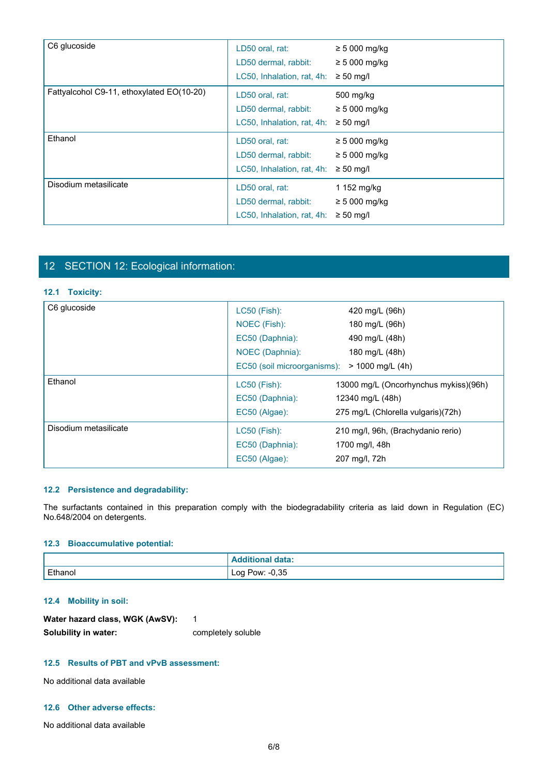| C6 glucoside                              | LD50 oral, rat:<br>LD50 dermal, rabbit:<br>LC50, Inhalation, rat, 4h: | $\geq$ 5 000 mg/kg<br>$\geq$ 5 000 mg/kg<br>$\geq 50$ mg/l |  |
|-------------------------------------------|-----------------------------------------------------------------------|------------------------------------------------------------|--|
| Fattyalcohol C9-11, ethoxylated EO(10-20) | LD50 oral, rat:<br>LD50 dermal, rabbit:<br>LC50, Inhalation, rat, 4h: | 500 mg/kg<br>$\geq 5000$ mg/kg<br>$\geq 50$ mg/l           |  |
| Ethanol                                   | LD50 oral, rat:<br>LD50 dermal, rabbit:<br>LC50, Inhalation, rat, 4h: | $\geq$ 5 000 mg/kg<br>$\geq$ 5 000 mg/kg<br>$\geq 50$ mg/l |  |
| Disodium metasilicate                     | LD50 oral, rat:<br>LD50 dermal, rabbit:<br>LC50, Inhalation, rat, 4h: | 1 152 mg/kg<br>$\geq$ 5 000 mg/kg<br>$\geq 50$ mg/l        |  |

# 12 SECTION 12: Ecological information:

### **12.1 Toxicity:**

| 12 SECTION 12: Ecological information:                            |                                                                                                   |                                                                                                                         |
|-------------------------------------------------------------------|---------------------------------------------------------------------------------------------------|-------------------------------------------------------------------------------------------------------------------------|
| 12.1 Toxicity:                                                    |                                                                                                   |                                                                                                                         |
| C6 glucoside                                                      | LC50 (Fish):<br>NOEC (Fish):<br>EC50 (Daphnia):<br>NOEC (Daphnia):<br>EC50 (soil microorganisms): | 420 mg/L (96h)<br>180 mg/L (96h)<br>490 mg/L (48h)<br>180 mg/L (48h)<br>> 1000 mg/L (4h)                                |
| Ethanol                                                           | LC50 (Fish):<br>EC50 (Daphnia):<br>EC50 (Algae):                                                  | 13000 mg/L (Oncorhynchus mykiss)(96h)<br>12340 mg/L (48h)<br>275 mg/L (Chlorella vulgaris)(72h)                         |
| Disodium metasilicate                                             | LC50 (Fish):<br>EC50 (Daphnia):<br>EC50 (Algae):                                                  | 210 mg/l, 96h, (Brachydanio rerio)<br>1700 mg/l, 48h<br>207 mg/l, 72h                                                   |
| 12.2 Persistence and degradability:<br>No.648/2004 on detergents. |                                                                                                   | The surfactants contained in this preparation comply with the biodegradability criteria as laid down in Regulation (EC) |
| 12.3 Bioaccumulative potential:                                   |                                                                                                   |                                                                                                                         |
|                                                                   | <b>Additional data:</b>                                                                           |                                                                                                                         |
| Ethanol                                                           | Log Pow: -0,35                                                                                    |                                                                                                                         |

# **12.2 Persistence and degradability:**

# **12.3 Bioaccumulative potential:**

|         | data:                  |
|---------|------------------------|
| Ethanol | $-0,35$<br>Pow:<br>Log |

# **12.4 Mobility in soil:**

| Water hazard class, WGK (AwSV): |                    |
|---------------------------------|--------------------|
| Solubility in water:            | completely soluble |

# **12.5 Results of PBT and vPvB assessment:**

No additional data available

# **12.6 Other adverse effects:**

No additional data available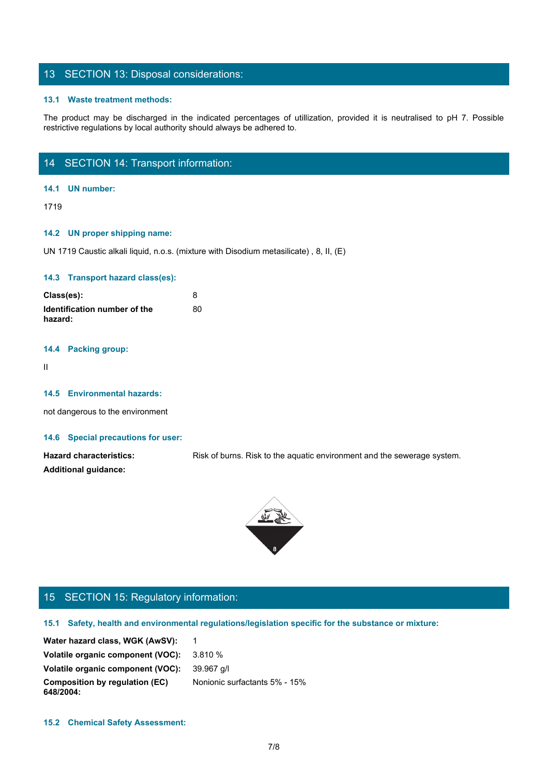# 13 SECTION 13: Disposal considerations:

### **13.1 Waste treatment methods:**

The product may be discharged in the indicated percentages of utilization, provided it is neutralised to pH 7. Possible restrictive regulations by local authority should always be adhered to.<br>The product may be discharged restrictive regulations by local authority should always be adhered to.

# 14 SECTION 14: Transport information:

### **14.1 UN number:**

1719

### **14.2 UN proper shipping name:**

UN 1719 Caustic alkali liquid, n.o.s. (mixture with Disodium metasilicate) , 8, II, (E)

### **14.3 Transport hazard class(es):**

| Class(es):                              |    |
|-----------------------------------------|----|
| Identification number of the<br>hazard: | 80 |

### **14.4 Packing group:**

II and the state of the state of the state of the state of the state of the state of the state of the state of

### **14.5 Environmental hazards:**

not dangerous to the environment

### **14.6 Special precautions for user:**

Hazard characteristics: Risk of burns. Risk to the aquatic environment and the sewerage system. **Additional guidance:**



# 15 SECTION 15: Regulatory information:

**15.1 Safety, health and environmental regulations/legislation specific for the substance or mixture:**

Water hazard class, WGK (AwSV): 1 **Volatile organic component (VOC):** 3.810 % **Volatile organic component (VOC):** 39.967 g/l **Composition by regulation (EC) 648/2004:** Nonionic surfactants 5% - 15%